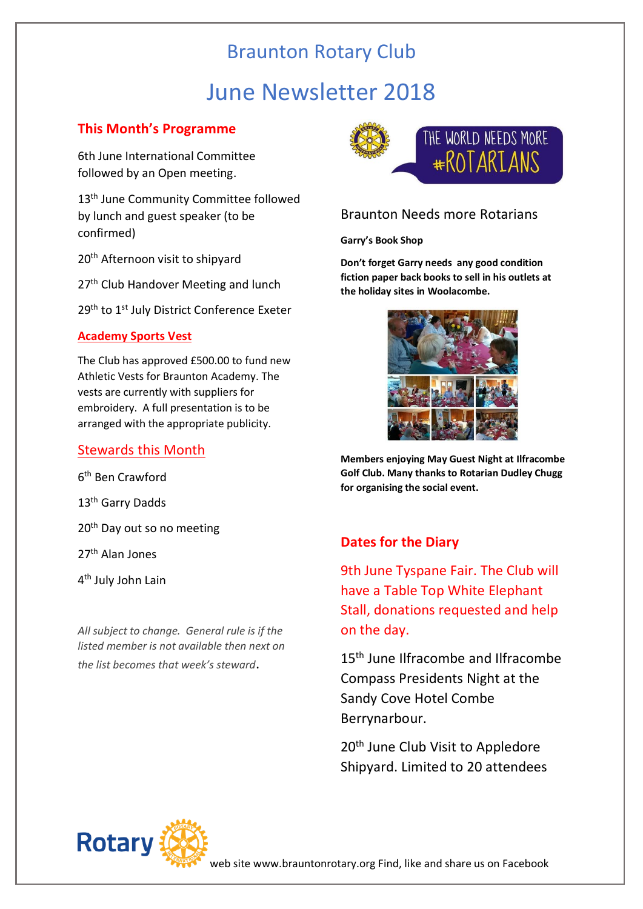## Braunton Rotary Club

# June Newsletter 2018

#### **This Month's Programme**

6th June International Committee followed by an Open meeting.

13<sup>th</sup> June Community Committee followed by lunch and guest speaker (to be confirmed)

20<sup>th</sup> Afternoon visit to shipyard

27<sup>th</sup> Club Handover Meeting and lunch

29<sup>th</sup> to 1<sup>st</sup> July District Conference Exeter

#### **Academy Sports Vest**

The Club has approved £500.00 to fund new Athletic Vests for Braunton Academy. The vests are currently with suppliers for embroidery. A full presentation is to be arranged with the appropriate publicity.

#### Stewards this Month

6<sup>th</sup> Ben Crawford

13<sup>th</sup> Garry Dadds

20<sup>th</sup> Day out so no meeting

27th Alan Jones

4<sup>th</sup> July John Lain

*All subject to change. General rule is if the listed member is not available then next on the list becomes that week's steward*.



#### Braunton Needs more Rotarians

**Garry's Book Shop**

**Don't forget Garry needs any good condition fiction paper back books to sell in his outlets at the holiday sites in Woolacombe.** 



**Members enjoying May Guest Night at Ilfracombe Golf Club. Many thanks to Rotarian Dudley Chugg for organising the social event.**

#### **Dates for the Diary**

9th June Tyspane Fair. The Club will have a Table Top White Elephant Stall, donations requested and help on the day.

15th June Ilfracombe and Ilfracombe Compass Presidents Night at the Sandy Cove Hotel Combe Berrynarbour.

20<sup>th</sup> June Club Visit to Appledore Shipyard. Limited to 20 attendees



web site www.brauntonrotary.org Find, like and share us on Facebook